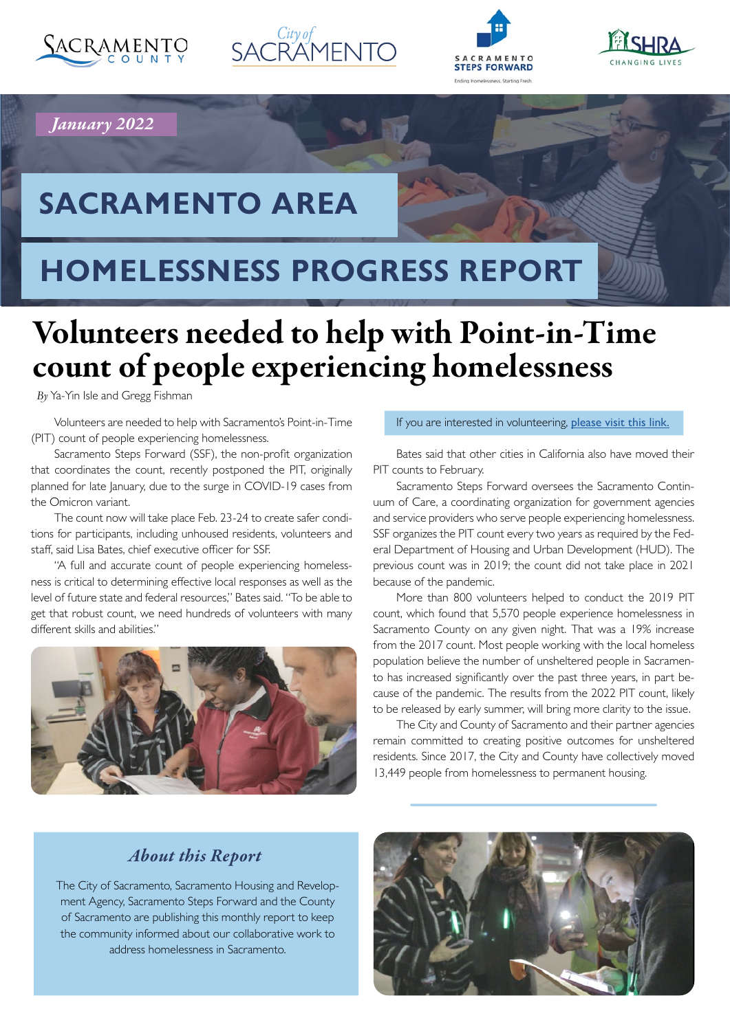







## *January 2022*

# **SACRAMENTO AREA**

# **HOMELESSNESS PROGRESS REPORT**

# Volunteers needed to help with Point-in-Time count of people experiencing homelessness

*By* Ya-Yin Isle and Gregg Fishman

Volunteers are needed to help with Sacramento's Point-in-Time (PIT) count of people experiencing homelessness.

Sacramento Steps Forward (SSF), the non-proft organization that coordinates the count, recently postponed the PIT, originally planned for late January, due to the surge in COVID-19 cases from the Omicron variant.

The count now will take place Feb. 23-24 to create safer conditions for participants, including unhoused residents, volunteers and staff, said Lisa Bates, chief executive officer for SSF.

"A full and accurate count of people experiencing homelessness is critical to determining efective local responses as well as the level of future state and federal resources," Bates said. "To be able to get that robust count, we need hundreds of volunteers with many diferent skills and abilities."



#### If you are interested in volunteering, [please visit this link.](https://sacramentostepsforward.org/continuum-of-care-point-in-time-pit-count/2022-pit-count/)

Bates said that other cities in California also have moved their PIT counts to February.

Sacramento Steps Forward oversees the Sacramento Continuum of Care, a coordinating organization for government agencies and service providers who serve people experiencing homelessness. SSF organizes the PIT count every two years as required by the Federal Department of Housing and Urban Development (HUD). The previous count was in 2019; the count did not take place in 2021 because of the pandemic.

More than 800 volunteers helped to conduct the 2019 PIT count, which found that 5,570 people experience homelessness in Sacramento County on any given night. That was a 19% increase from the 2017 count. Most people working with the local homeless population believe the number of unsheltered people in Sacramento has increased signifcantly over the past three years, in part because of the pandemic. The results from the 2022 PIT count, likely to be released by early summer, will bring more clarity to the issue.

The City and County of Sacramento and their partner agencies remain committed to creating positive outcomes for unsheltered residents. Since 2017, the City and County have collectively moved 13,449 people from homelessness to permanent housing.

### *About this Report*

The City of Sacramento, Sacramento Housing and Revelopment Agency, Sacramento Steps Forward and the County of Sacramento are publishing this monthly report to keep the community informed about our collaborative work to address homelessness in Sacramento.